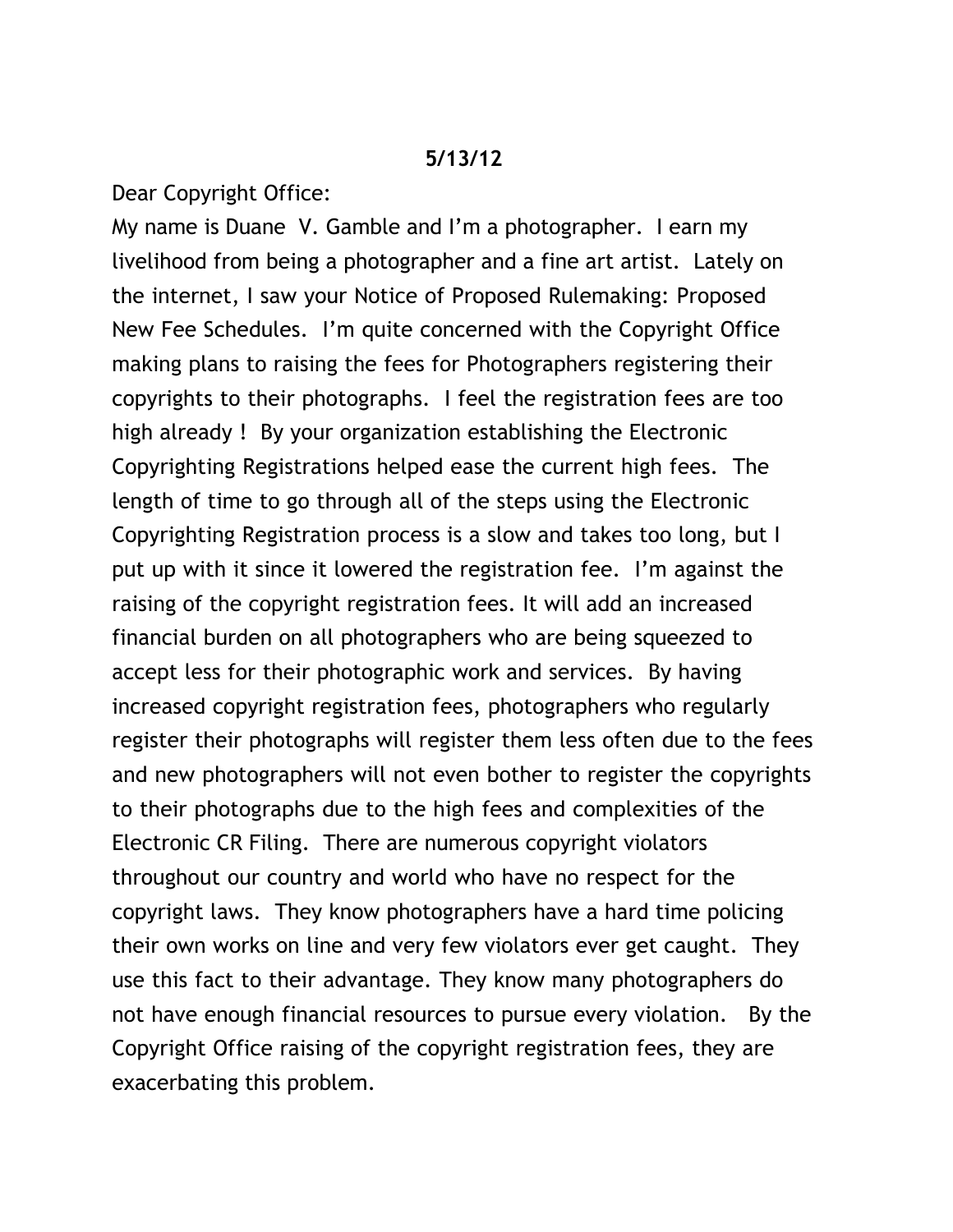## **5/13/12**

Dear Copyright Office:

My name is Duane V. Gamble and I'm a photographer. I earn my livelihood from being a photographer and a fine art artist. Lately on the internet, I saw your Notice of Proposed Rulemaking: Proposed New Fee Schedules. I'm quite concerned with the Copyright Office making plans to raising the fees for Photographers registering their copyrights to their photographs. I feel the registration fees are too high already ! By your organization establishing the Electronic Copyrighting Registrations helped ease the current high fees. The length of time to go through all of the steps using the Electronic Copyrighting Registration process is a slow and takes too long, but I put up with it since it lowered the registration fee. I'm against the raising of the copyright registration fees. It will add an increased financial burden on all photographers who are being squeezed to accept less for their photographic work and services. By having increased copyright registration fees, photographers who regularly register their photographs will register them less often due to the fees and new photographers will not even bother to register the copyrights to their photographs due to the high fees and complexities of the Electronic CR Filing. There are numerous copyright violators throughout our country and world who have no respect for the copyright laws. They know photographers have a hard time policing their own works on line and very few violators ever get caught. They use this fact to their advantage. They know many photographers do not have enough financial resources to pursue every violation. By the Copyright Office raising of the copyright registration fees, they are exacerbating this problem.